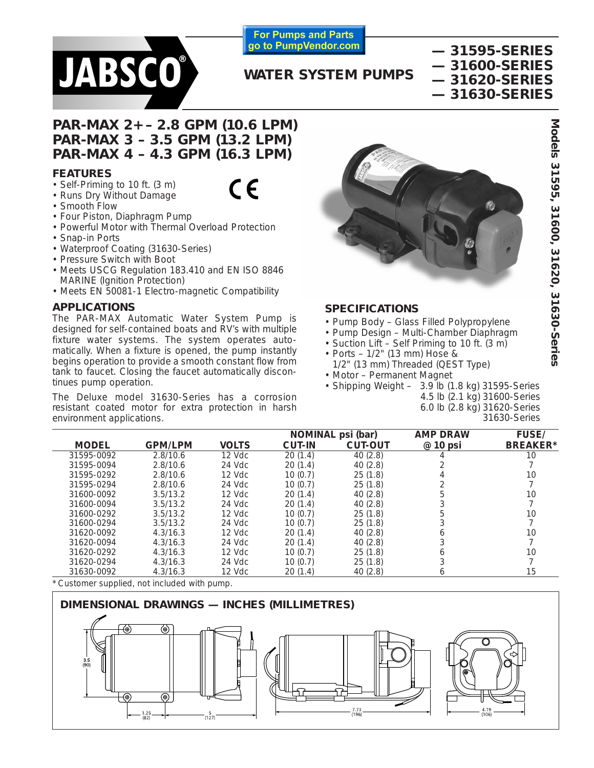

**For Pumps and Parts** go to PumpVendor.com

# **— 31595-SERIES — 31600-SERIES — 31620-SERIES — 31630-SERIES**

# **WATER SYSTEM PUMPS**

# **PAR-MAX 2+ – 2.8 GPM (10.6 LPM) PAR-MAX 3 – 3.5 GPM (13.2 LPM) PAR-MAX 4 – 4.3 GPM (16.3 LPM)**

## **FEATURES**

- Self-Priming to 10 ft. (3 m)
- Runs Dry Without Damage
- Smooth Flow
- Four Piston, Diaphragm Pump
- Powerful Motor with Thermal Overload Protection
- Snap-in Ports
- Waterproof Coating (31630-Series)
- Pressure Switch with Boot
- Meets USCG Regulation 183.410 and EN ISO 8846 MARINE (Ignition Protection)
- Meets EN 50081-1 Electro-magnetic Compatibility

# **APPLICATIONS**

The PAR-MAX Automatic Water System Pump is designed for self-contained boats and RV's with multiple fixture water systems. The system operates automatically. When a fixture is opened, the pump instantly begins operation to provide a smooth constant flow from tank to faucet. Closing the faucet automatically discontinues pump operation.

The Deluxe model 31630-Series has a corrosion resistant coated motor for extra protection in harsh environment applications.



# **SPECIFICATIONS**

- Pump Body Glass Filled Polypropylene
- Pump Design Multi-Chamber Diaphragm
- Suction Lift Self Priming to 10 ft. (3 m)
- Ports 1/2" (13 mm) Hose & 1/2" (13 mm) Threaded (QEST Type)
- Motor Permanent Magnet
- Shipping Weight  $-3.9$  lb (1.8 kg) 31595-Series 4.5 lb (2.1 kg) 31600-Series
	- 6.0 lb (2.8 kg) 31620-Series 31630-Series

|              |                |              | <b>NOMINAL</b><br>psi (bar) |                | <b>AMP DRAW</b> | <b>FUSE/</b>    |
|--------------|----------------|--------------|-----------------------------|----------------|-----------------|-----------------|
| <b>MODEL</b> | <b>GPM/LPM</b> | <b>VOLTS</b> | <b>CUT-IN</b>               | <b>CUT-OUT</b> | @ 10 psi        | <b>BREAKER*</b> |
| 31595-0092   | 2.8/10.6       | 12 Vdc       | 20(1.4)                     | 40(2.8)        |                 | 10              |
| 31595-0094   | 2.8/10.6       | 24 Vdc       | 20(1.4)                     | 40(2.8)        |                 |                 |
| 31595-0292   | 2.8/10.6       | 12 Vdc       | 10(0.7)                     | 25(1.8)        |                 | 10              |
| 31595-0294   | 2.8/10.6       | 24 Vdc       | 10(0.7)                     | 25(1.8)        |                 |                 |
| 31600-0092   | 3.5/13.2       | $12$ Vdc     | 20(1.4)                     | 40(2.8)        |                 | 10              |
| 31600-0094   | 3.5/13.2       | 24 Vdc       | 20(1.4)                     | 40(2.8)        |                 |                 |
| 31600-0292   | 3.5/13.2       | $12$ Vdc     | 10(0.7)                     | 25(1.8)        |                 | 10              |
| 31600-0294   | 3.5/13.2       | 24 Vdc       | 10(0.7)                     | 25(1.8)        |                 |                 |
| 31620-0092   | 4.3/16.3       | $12$ Vdc     | 20(1.4)                     | 40(2.8)        |                 | 10              |
| 31620-0094   | 4.3/16.3       | 24 Vdc       | 20(1.4)                     | 40(2.8)        |                 |                 |
| 31620-0292   | 4.3/16.3       | $12$ Vdc     | 10(0.7)                     | 25(1.8)        | n               | 10              |
| 31620-0294   | 4.3/16.3       | 24 Vdc       | 10(0.7)                     | 25(1.8)        |                 |                 |
| 31630-0092   | 4.3/16.3       | 12 Vdc       | 20(1.4)                     | 40(2.8)        | <sub>n</sub>    | 15              |

Customer supplied, not included with pump.



Models 31595, 31600, 31620, 31630-Series **Models 31595, 31600, 31620, 31630-Series**

 $\epsilon$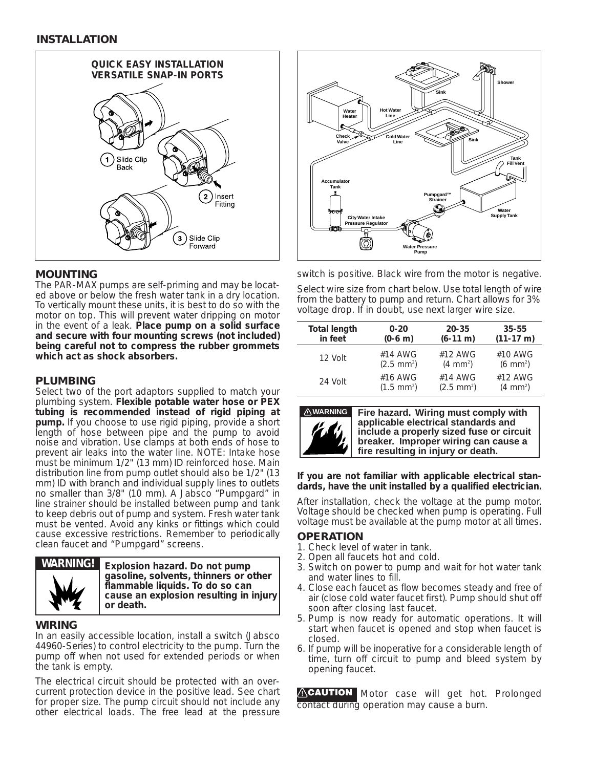

# **MOUNTING**

The PAR-MAX pumps are self-priming and may be located above or below the fresh water tank in a dry location. To vertically mount these units, it is best to do so with the motor on top. This will prevent water dripping on motor in the event of a leak. **Place pump on a solid surface and secure with four mounting screws (not included) being careful not to compress the rubber grommets which act as shock absorbers.**

# **PLUMBING**

Select two of the port adaptors supplied to match your plumbing system. **Flexible potable water hose or PEX tubing is recommended instead of rigid piping at pump.** If you choose to use rigid piping, provide a short length of hose between pipe and the pump to avoid noise and vibration. Use clamps at both ends of hose to prevent air leaks into the water line. NOTE: Intake hose must be minimum 1/2" (13 mm) ID reinforced hose. Main distribution line from pump outlet should also be 1/2" (13 mm) ID with branch and individual supply lines to outlets no smaller than 3/8" (10 mm). A Jabsco "Pumpgard" in line strainer should be installed between pump and tank to keep debris out of pump and system. Fresh water tank must be vented. Avoid any kinks or fittings which could cause excessive restrictions. Remember to periodically clean faucet and "Pumpgard" screens.



**WARNING! Explosion hazard. Do not pump gasoline, solvents, thinners or other flammable liquids. To do so can cause an explosion resulting in injury or death.**

## **WIRING**

In an easily accessible location, install a switch (Jabsco 44960-Series) to control electricity to the pump. Turn the pump off when not used for extended periods or when the tank is empty.

The electrical circuit should be protected with an overcurrent protection device in the positive lead. See chart for proper size. The pump circuit should not include any other electrical loads. The free lead at the pressure



switch is positive. Black wire from the motor is negative. Select wire size from chart below. Use total length of wire from the battery to pump and return. Chart allows for 3% voltage drop. If in doubt, use next larger wire size.

| <b>Total length</b> | $0 - 20$             | $20 - 35$            | $35 - 55$            |
|---------------------|----------------------|----------------------|----------------------|
| in feet             | $(0-6 \, \text{m})$  | $(6-11 \text{ m})$   | $(11-17 \text{ m})$  |
| 12 Volt             | #14 AWG              | #12 AWG              | #10 AWG              |
|                     | $(2.5 \text{ mm}^2)$ | $(4 \, \text{mm}^2)$ | $(6 \text{ mm}^2)$   |
| 24 Volt             | #16 AWG              | #14 AWG              | #12 AWG              |
|                     | $(1.5 \text{ mm}^2)$ | $(2.5 \text{ mm}^2)$ | $(4 \, \text{mm}^2)$ |



**! WARNING Fire hazard. Wiring must comply with applicable electrical standards and include a properly sized fuse or circuit breaker. Improper wiring can cause a fire resulting in injury or death.**

### **If you are not familiar with applicable electrical standards, have the unit installed by a qualified electrician.**

After installation, check the voltage at the pump motor. Voltage should be checked when pump is operating. Full voltage must be available at the pump motor at all times.

## **OPERATION**

- 1. Check level of water in tank.
- 2. Open all faucets hot and cold.
- 3. Switch on power to pump and wait for hot water tank and water lines to fill.
- 4. Close each faucet as flow becomes steady and free of air (close cold water faucet first). Pump should shut off soon after closing last faucet.
- 5. Pump is now ready for automatic operations. It will start when faucet is opened and stop when faucet is closed.
- 6. If pump will be inoperative for a considerable length of time, turn off circuit to pump and bleed system by opening faucet.

**ACAUTION** Motor case will get hot. Prolonged contact during operation may cause a burn.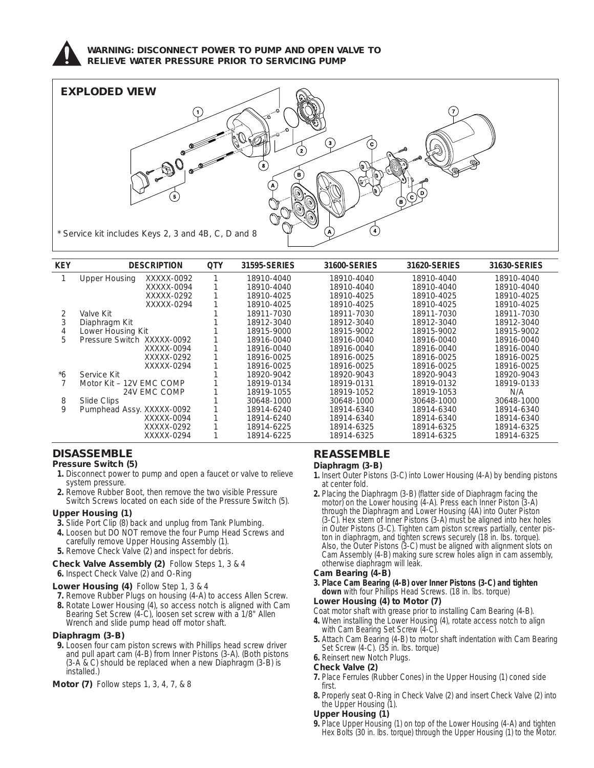

### **WARNING: DISCONNECT POWER TO PUMP AND OPEN VALVE TO RELIEVE WATER PRESSURE PRIOR TO SERVICING PUMP**



| <b>KEY</b> | <b>DESCRIPTION</b>         |              | <b>QTY</b> | 31595-SERIES | 31600-SERIES | 31620-SERIES | 31630-SERIES |
|------------|----------------------------|--------------|------------|--------------|--------------|--------------|--------------|
|            | Upper Housing              | XXXXX-0092   |            | 18910-4040   | 18910-4040   | 18910-4040   | 18910-4040   |
|            |                            | XXXXX-0094   |            | 18910-4040   | 18910-4040   | 18910-4040   | 18910-4040   |
|            |                            | XXXXX-0292   |            | 18910-4025   | 18910-4025   | 18910-4025   | 18910-4025   |
|            |                            | XXXXX-0294   |            | 18910-4025   | 18910-4025   | 18910-4025   | 18910-4025   |
| 2          | Valve Kit                  |              |            | 18911-7030   | 18911-7030   | 18911-7030   | 18911-7030   |
|            | Diaphragm Kit              |              |            | 18912-3040   | 18912-3040   | 18912-3040   | 18912-3040   |
| 4          | Lower Housing Kit          |              |            | 18915-9000   | 18915-9002   | 18915-9002   | 18915-9002   |
| 5.         | Pressure Switch XXXXX-0092 |              |            | 18916-0040   | 18916-0040   | 18916-0040   | 18916-0040   |
|            |                            | XXXXX-0094   |            | 18916-0040   | 18916-0040   | 18916-0040   | 18916-0040   |
|            |                            | XXXXX-0292   |            | 18916-0025   | 18916-0025   | 18916-0025   | 18916-0025   |
|            |                            | XXXXX-0294   |            | 18916-0025   | 18916-0025   | 18916-0025   | 18916-0025   |
| *6         | Service Kit                |              |            | 18920-9042   | 18920-9043   | 18920-9043   | 18920-9043   |
|            | Motor Kit - 12V EMC COMP   |              |            | 18919-0134   | 18919-0131   | 18919-0132   | 18919-0133   |
|            |                            | 24V EMC COMP |            | 18919-1055   | 18919-1052   | 18919-1053   | N/A          |
| 8          | Slide Clips                |              |            | 30648-1000   | 30648-1000   | 30648-1000   | 30648-1000   |
| 9          | Pumphead Assy. XXXXX-0092  |              |            | 18914-6240   | 18914-6340   | 18914-6340   | 18914-6340   |
|            |                            | XXXXX-0094   |            | 18914-6240   | 18914-6340   | 18914-6340   | 18914-6340   |
|            |                            | XXXXX-0292   |            | 18914-6225   | 18914-6325   | 18914-6325   | 18914-6325   |
|            |                            | XXXXX-0294   |            | 18914-6225   | 18914-6325   | 18914-6325   | 18914-6325   |

# **DISASSEMBLE**

- **Pressure Switch (5)**
- **1.** Disconnect power to pump and open a faucet or valve to relieve system pressure.
- **2.** Remove Rubber Boot, then remove the two visible Pressure Switch Screws located on each side of the Pressure Switch (5).

### **Upper Housing (1)**

- **3.** Slide Port Clip (8) back and unplug from Tank Plumbing.
- **4.** Loosen but DO NOT remove the four Pump Head Screws and carefully remove Upper Housing Assembly (1).
- **5.** Remove Check Valve (2) and inspect for debris.

#### **Check Valve Assembly (2)** Follow Steps 1, 3 & 4 **6.** Inspect Check Valve (2) and O-Ring

### **Lower Housing (4)** Follow Step 1, 3 & 4

- **7.** Remove Rubber Plugs on housing (4-A) to access Allen Screw.
- **8.** Rotate Lower Housing (4), so access notch is aligned with Cam Bearing Set Screw (4-C), loosen set screw with a 1/8" Allen Wrench and slide pump head off motor shaft.

### **Diaphragm (3-B)**

- **9.** Loosen four cam piston screws with Phillips head screw driver and pull apart cam (4-B) from Inner Pistons (3-A). (Both pistons (3-A & C) should be replaced when a new Diaphragm (3-B) is installed.)
- **Motor (7)** Follow steps 1, 3, 4, 7, & 8

# **REASSEMBLE**

### **Diaphragm (3-B)**

- **1.** Insert Outer Pistons (3-C) into Lower Housing (4-A) by bending pistons at center fold.
- **2.** Placing the Diaphragm (3-B) (flatter side of Diaphragm facing the motor) on the Lower housing (4-A). Press each Inner Piston (3-A) through the Diaphragm and Lower Housing (4A) into Outer Piston (3-C). Hex stem of Inner Pistons (3-A) must be aligned into hex holes in Outer Pistons (3-C). Tighten cam piston screws partially, center piston in diaphragm, and tighten screws securely (18 in. lbs. torque). Also, the Outer Pistons (3-C) must be aligned with alignment slots on Cam Assembly (4-B) making sure screw holes align in cam assembly, otherwise diaphragm will leak.

### **Cam Bearing (4-B)**

**3. Place Cam Bearing (4-B) over Inner Pistons (3-C) and tighten down** with four Phillips Head Screws. (18 in. lbs. torque)

### **Lower Housing (4) to Motor (7)**

- Coat motor shaft with grease prior to installing Cam Bearing (4-B).
- **4.** When installing the Lower Housing (4), rotate access notch to align with Cam Bearing Set Screw (4-C)
- **5.** Attach Cam Bearing (4-B) to motor shaft indentation with Cam Bearing Set Screw (4-C). (35 in. lbs. torque)

## **6.** Reinsert new Notch Plugs.

- **Check Valve (2)**
- **7.** Place Ferrules (Rubber Cones) in the Upper Housing (1) coned side first.
- **8.** Properly seat O-Ring in Check Valve (2) and insert Check Valve (2) into the Upper Housing (1).

### **Upper Housing (1)**

**9.** Place Upper Housing (1) on top of the Lower Housing (4-A) and tighten Hex Bolts (30 in. lbs. torque) through the Upper Housing (1) to the Motor.